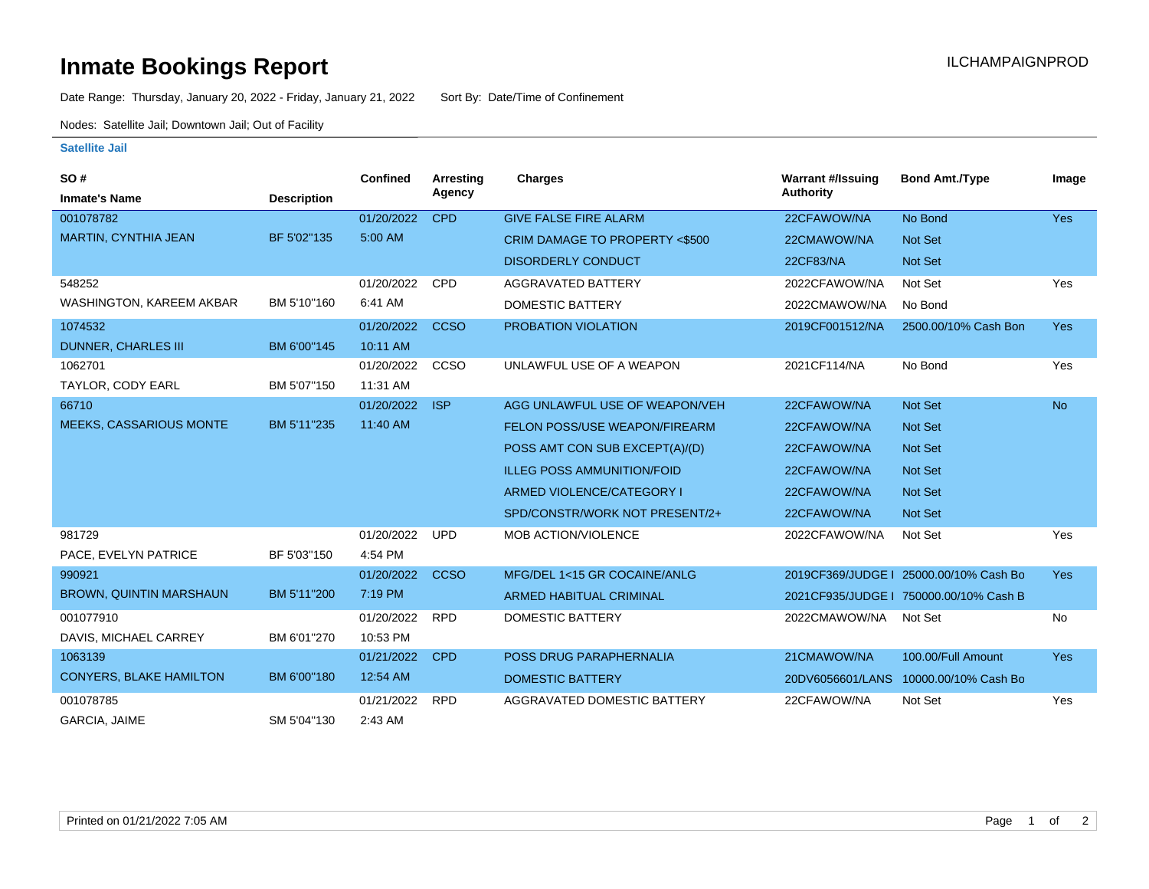# **Inmate Bookings Report Installation ILCHAMPAIGNPROD**

Date Range: Thursday, January 20, 2022 - Friday, January 21, 2022 Sort By: Date/Time of Confinement

Nodes: Satellite Jail; Downtown Jail; Out of Facility

## **Satellite Jail**

| SO#                            |                    | Confined   | Arresting   | <b>Charges</b>                       | <b>Warrant #/Issuing</b> | <b>Bond Amt./Type</b>                  | Image      |
|--------------------------------|--------------------|------------|-------------|--------------------------------------|--------------------------|----------------------------------------|------------|
| <b>Inmate's Name</b>           | <b>Description</b> |            | Agency      |                                      | <b>Authority</b>         |                                        |            |
| 001078782                      |                    | 01/20/2022 | <b>CPD</b>  | <b>GIVE FALSE FIRE ALARM</b>         | 22CFAWOW/NA              | No Bond                                | <b>Yes</b> |
| <b>MARTIN, CYNTHIA JEAN</b>    | BF 5'02"135        | 5:00 AM    |             | CRIM DAMAGE TO PROPERTY <\$500       | 22CMAWOW/NA              | <b>Not Set</b>                         |            |
|                                |                    |            |             | <b>DISORDERLY CONDUCT</b>            | <b>22CF83/NA</b>         | Not Set                                |            |
| 548252                         |                    | 01/20/2022 | <b>CPD</b>  | AGGRAVATED BATTERY                   | 2022CFAWOW/NA            | Not Set                                | Yes        |
| WASHINGTON, KAREEM AKBAR       | BM 5'10"160        | 6:41 AM    |             | <b>DOMESTIC BATTERY</b>              | 2022CMAWOW/NA            | No Bond                                |            |
| 1074532                        |                    | 01/20/2022 | <b>CCSO</b> | PROBATION VIOLATION                  | 2019CF001512/NA          | 2500.00/10% Cash Bon                   | <b>Yes</b> |
| <b>DUNNER, CHARLES III</b>     | BM 6'00"145        | 10:11 AM   |             |                                      |                          |                                        |            |
| 1062701                        |                    | 01/20/2022 | CCSO        | UNLAWFUL USE OF A WEAPON             | 2021CF114/NA             | No Bond                                | Yes        |
| TAYLOR, CODY EARL              | BM 5'07"150        | 11:31 AM   |             |                                      |                          |                                        |            |
| 66710                          |                    | 01/20/2022 | <b>ISP</b>  | AGG UNLAWFUL USE OF WEAPON/VEH       | 22CFAWOW/NA              | Not Set                                | <b>No</b>  |
| <b>MEEKS, CASSARIOUS MONTE</b> | BM 5'11"235        | 11:40 AM   |             | <b>FELON POSS/USE WEAPON/FIREARM</b> | 22CFAWOW/NA              | Not Set                                |            |
|                                |                    |            |             | POSS AMT CON SUB EXCEPT(A)/(D)       | 22CFAWOW/NA              | Not Set                                |            |
|                                |                    |            |             | <b>ILLEG POSS AMMUNITION/FOID</b>    | 22CFAWOW/NA              | <b>Not Set</b>                         |            |
|                                |                    |            |             | ARMED VIOLENCE/CATEGORY I            | 22CFAWOW/NA              | Not Set                                |            |
|                                |                    |            |             | SPD/CONSTR/WORK NOT PRESENT/2+       | 22CFAWOW/NA              | Not Set                                |            |
| 981729                         |                    | 01/20/2022 | <b>UPD</b>  | MOB ACTION/VIOLENCE                  | 2022CFAWOW/NA            | Not Set                                | Yes        |
| PACE, EVELYN PATRICE           | BF 5'03"150        | 4:54 PM    |             |                                      |                          |                                        |            |
| 990921                         |                    | 01/20/2022 | <b>CCSO</b> | MFG/DEL 1<15 GR COCAINE/ANLG         |                          | 2019CF369/JUDGE   25000.00/10% Cash Bo | <b>Yes</b> |
| <b>BROWN, QUINTIN MARSHAUN</b> | BM 5'11"200        | 7:19 PM    |             | <b>ARMED HABITUAL CRIMINAL</b>       |                          | 2021CF935/JUDGE   750000.00/10% Cash B |            |
| 001077910                      |                    | 01/20/2022 | <b>RPD</b>  | <b>DOMESTIC BATTERY</b>              | 2022CMAWOW/NA            | Not Set                                | No         |
| DAVIS, MICHAEL CARREY          | BM 6'01"270        | 10:53 PM   |             |                                      |                          |                                        |            |
| 1063139                        |                    | 01/21/2022 | <b>CPD</b>  | POSS DRUG PARAPHERNALIA              | 21CMAWOW/NA              | 100.00/Full Amount                     | <b>Yes</b> |
| <b>CONYERS, BLAKE HAMILTON</b> | BM 6'00"180        | 12:54 AM   |             | <b>DOMESTIC BATTERY</b>              | 20DV6056601/LANS         | 10000.00/10% Cash Bo                   |            |
| 001078785                      |                    | 01/21/2022 | <b>RPD</b>  | AGGRAVATED DOMESTIC BATTERY          | 22CFAWOW/NA              | Not Set                                | Yes        |
| GARCIA, JAIME                  | SM 5'04"130        | 2:43 AM    |             |                                      |                          |                                        |            |